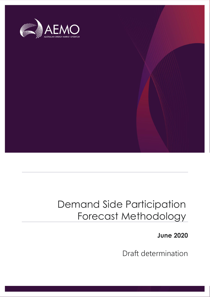

# Demand Side Participation Forecast Methodology

**June 2020**

Draft determination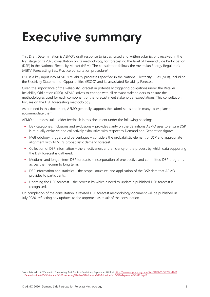# <span id="page-1-0"></span>**Executive summary**

This Draft Determination is AEMO's draft response to issues raised and written submissions received in the first stage of its 2020 consultation on its methodology for forecasting the level of Demand Side Participation (DSP) in the National Electricity Market (NEM). The consultation follows the Australian Energy Regulator's (AER's) Forecasting Best Practice consultation procedure<sup>1</sup>.

DSP is a key input into AEMO's reliability processes specified in the National Electricity Rules (NER), including the Electricity Statement of Opportunities (ESOO) and its associated Reliability Forecast.

Given the importance of the Reliability Forecast in potentially triggering obligations under the Retailer Reliability Obligation (RRO), AEMO strives to engage with all relevant stakeholders to ensure the methodologies used for each component of the forecast meet stakeholder expectations. This consultation focuses on the DSP forecasting methodology.

As outlined in this document, AEMO generally supports the submissions and in many cases plans to accommodate them.

AEMO addresses stakeholder feedback in this document under the following headings:

- DSP categories, inclusions and exclusions provides clarity on the definitions AEMO uses to ensure DSP is mutually exclusive and collectively exhaustive with respect to Demand and Generation figures.
- Methodology: triggers and percentages considers the probabilistic element of DSP and appropriate alignment with AEMO's probabilistic demand forecast.
- Collection of DSP information the effectiveness and efficiency of the process by which data supporting the DSP forecast is gathered.
- Medium- and longer-term DSP forecasts incorporation of prospective and committed DSP programs across the medium to long term.
- DSP information and statistics the scope, structure, and application of the DSP data that AEMO provides to participants.
- Updating the DSP forecast the process by which a need to update a published DSP forecast is recognised.

On completion of the consultation, a revised DSP forecast methodology document will be published in July 2020, reflecting any updates to the approach as result of the consultation.

<sup>1</sup> As published in AER's Interim Forecasting Best Practice Guidelines, September 2019, at [https://www.aer.gov.au/system/files/AER%20-%20Final%20](https://www.aer.gov.au/system/files/AER%20-%20Final%20Determination%20-%20Interim%20Forecasting%20Best%20Practice%20Guidelines%20-%20September%202019.pdf) [Determination%20-%20Interim%20Forecasting%20Best%20Practice%20Guidelines%20-%20September%202019.pdf.](https://www.aer.gov.au/system/files/AER%20-%20Final%20Determination%20-%20Interim%20Forecasting%20Best%20Practice%20Guidelines%20-%20September%202019.pdf)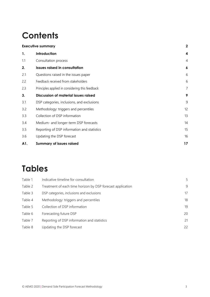# **Contents**

| <b>Executive summary</b>                        | $\mathbf 2$      |
|-------------------------------------------------|------------------|
| Introduction                                    | 4                |
| Consultation process                            | $\overline{4}$   |
| <b>Issues raised in consultation</b>            | $\boldsymbol{6}$ |
| Questions raised in the issues paper            | 6                |
| Feedback received from stakeholders             | 6                |
| Principles applied in considering this feedback | $\overline{7}$   |
| <b>Discussion of material issues raised</b>     | 9                |
| DSP categories, inclusions, and exclusions      | 9                |
| Methodology: triggers and percentiles           | 12               |
| Collection of DSP information                   | 13               |
| Medium- and longer-term DSP forecasts           | 14               |
| Reporting of DSP information and statistics     | 15               |
| Updating the DSP forecast                       | 16               |
| <b>Summary of issues raised</b>                 | 17               |
|                                                 |                  |

# **Tables**

| Table 1 | Indicative timeline for consultation                       | 5  |
|---------|------------------------------------------------------------|----|
| Table 2 | Treatment of each time horizon by DSP forecast application | 9  |
| Table 3 | DSP categories, inclusions and exclusions                  | 17 |
| Table 4 | Methodology: triggers and percentiles                      | 18 |
| Table 5 | Collection of DSP information                              | 19 |
| Table 6 | Forecasting future DSP                                     | 20 |
| Table 7 | Reporting of DSP information and statistics                | 21 |
| Table 8 | Updating the DSP forecast                                  | 22 |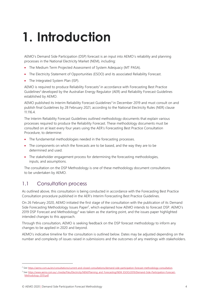# <span id="page-3-0"></span>**1. Introduction**

AEMO's Demand Side Participation (DSP) forecast is an input into AEMO's reliability and planning processes in the National Electricity Market (NEM), including:

- The Medium Term Projected Assessment of System Adequacy (MT PASA).
- The Electricity Statement of Opportunities (ESOO) and its associated Reliability Forecast.
- The Integrated System Plan (ISP).

AEMO is required to produce Reliability Forecasts<sup>1</sup> in accordance with Forecasting Best Practice Guidelines<sup>2</sup> developed by the Australian Energy Regulator (AER) and Reliability Forecast Guidelines established by AEMO.

AEMO published its Interim Reliability Forecast Guidelines<sup>3</sup> in December 2019 and must consult on and publish final Guidelines by 28 February 2021, according to the National Electricity Rules (NER) clause 11.116.4.

The Interim Reliability Forecast Guidelines outlined methodology documents that explain various processes required to produce the Reliability Forecast. These methodology documents must be consulted on at least every four years using the AER's Forecasting Best Practice Consultation Procedure, to determine:

- The fundamental methodologies needed in the forecasting processes.
- The components on which the forecasts are to be based, and the way they are to be determined and used.
- The stakeholder engagement process for determining the forecasting methodologies, inputs, and assumptions.

The consultation on the DSP Methodology is one of these methodology document consultations to be undertaken by AEMO.

# <span id="page-3-1"></span>1.1 Consultation process

As outlined above, this consultation is being conducted in accordance with the Forecasting Best Practice Consultation procedure published in the AER's Interim Forecasting Best Practice Guidelines.

On 26 February 2020, AEMO initiated the first stage of the consultation with the publication of its Demand Side Forecasting Methodology Issues Paper<sup>2</sup>, which explained how AEMO intends to forecast DSP. AEMO's 2019 DSP Forecast and Methodology<sup>3</sup> was taken as the starting point, and the issues paper highlighted intended changes to this approach.

Through this consultation, AEMO is seeking feedback on the DSP forecast methodology to inform any changes to be applied in 2020 and beyond.

AEMO's indicative timeline for the consultation is outlined below. Dates may be adjusted depending on the number and complexity of issues raised in submissions and the outcomes of any meetings with stakeholders.

<sup>2</sup> Se[e https://aemo.com.au/en/consultations/current-and-closed-consultations/demand-side-participation-forecast-methodology-consultation.](https://aemo.com.au/en/consultations/current-and-closed-consultations/demand-side-participation-forecast-methodology-consultation)

<sup>&</sup>lt;sup>3</sup> Se[e https://www.aemo.com.au/-/media/Files/Electricity/NEM/Planning\\_and\\_Forecasting/NEM\\_ESOO/2019/Demand-Side-Participation-Forecast-](https://www.aemo.com.au/-/media/Files/Electricity/NEM/Planning_and_Forecasting/NEM_ESOO/2019/Demand-Side-Participation-Forecast-Methodology-2019.pdf)[Methodology-2019.pdf.](https://www.aemo.com.au/-/media/Files/Electricity/NEM/Planning_and_Forecasting/NEM_ESOO/2019/Demand-Side-Participation-Forecast-Methodology-2019.pdf)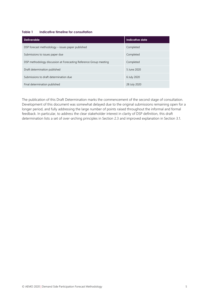#### <span id="page-4-0"></span>**Table 1 Indicative timeline for consultation**

| <b>Deliverable</b>                                                | Indicative date |
|-------------------------------------------------------------------|-----------------|
| DSP forecast methodology – issues paper published                 | Completed       |
| Submissions to issues paper due                                   | Completed       |
| DSP methodology discussion at Forecasting Reference Group meeting | Completed       |
| Draft determination published                                     | 5 June 2020     |
| Submissions to draft determination due                            | 6 July 2020     |
| Final determination published                                     | 28 July 2020    |

The publication of this Draft Determination marks the commencement of the second stage of consultation. Development of this document was somewhat delayed due to the original submissions remaining open for a longer period, and fully addressing the large number of points raised throughout the informal and formal feedback. In particular, to address the clear stakeholder interest in clarity of DSP definition, this draft determination lists a set of over-arching principles in Section [2.3](#page-6-0) and improved explanation in Section [3.1.](#page-8-1)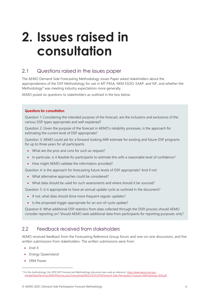# <span id="page-5-0"></span>**2. Issues raised in consultation**

# <span id="page-5-1"></span>2.1 Questions raised in the issues paper

The AEMO Demand Side Forecasting Methodology Issues Paper asked stakeholders about the appropriateness of the DSP Methodology for use in MT PASA, NEM ESOO, EAAP, and ISP, and whether the Methodology<sup>4</sup> was meeting industry expectations more generally.

AEMO posed six questions to stakeholders as outlined in the box below.

#### **Questions for consultation**

Question 1: Considering the intended purpose of the forecast, are the inclusions and exclusions of the various DSP types appropriate and well explained?

Question 2: Given the purpose of the forecast in AEMO's reliability processes, is the approach for estimating the current level of DSP appropriate?

Question 3: AEMO could ask for a forward-looking MW estimate for existing and future DSP programs for up to three years for all participants.

- What are the pros and cons for such as request?
- In particular, is it feasible for participants to estimate this with a reasonable level of confidence?
- How might AEMO validate the information provided?

Question 4: Is the approach for forecasting future levels of DSP appropriate? And if not:

- What alternative approaches could be considered?
- What data should be used for such assessments and where should it be sourced?

Question 5: Is it appropriate to have an annual update cycle as outlined in the document?

- If not, what data should drive more frequent regular updates?
- Is the proposed trigger appropriate for an out-of-cycle update?

Question 6: What additional DSP statistics from data collected through the DSPI process should AEMO consider reporting on? Should AEMO seek additional data from participants for reporting purposes only?

# <span id="page-5-2"></span>2.2 Feedback received from stakeholders

AEMO received feedback from the Forecasting Reference Group forum and one-on-one discussions, and five written submissions from stakeholders. The written submissions were from:

- Enel X
- Energy Queensland
- ERM Power

<sup>&</sup>lt;sup>4</sup> For the methodology, the 2019 DSP Forecast and Methodology document was used as reference: [https://www.aemo.com.au/-](https://www.aemo.com.au/-/media/Files/Electricity/NEM/Planning_and_Forecasting/NEM_ESOO/2019/Demand-Side-Participation-Forecast-Methodology-2019.pdf) [/media/Files/Electricity/NEM/Planning\\_and\\_Forecasting/NEM\\_ESOO/2019/Demand-Side-Participation-Forecast-Methodology-2019.pdf.](https://www.aemo.com.au/-/media/Files/Electricity/NEM/Planning_and_Forecasting/NEM_ESOO/2019/Demand-Side-Participation-Forecast-Methodology-2019.pdf)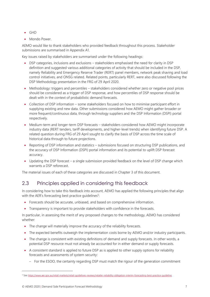- GHD
- Mondo Power.

AEMO would like to thank stakeholders who provided feedback throughout this process. Stakeholder submissions are summarised in Appendix A1.

Key issues raised by stakeholders are summarised under the following headings:

- DSP categories, inclusions and exclusions stakeholders emphasised the need for clarity in DSP definition and suggested various additional categories of activity that should be included in the DSP, namely Reliability and Emergency Reserve Trader (RERT) panel members, network peak shaving and load control initiatives, and ONSG related. Related points, particularly RERT, were also discussed following the DSP Methodology presentation in the FRG of 29 April 2020.
- Methodology: triggers and percentiles stakeholders considered whether zero or negative pool prices should be considered as a trigger of DSP response, and how percentiles of DSP response should be dealt with in the context of probabilistic demand forecasts.
- Collection of DSP information some stakeholders focused on how to minimise participant effort in supplying existing and new data. Other submissions considered how AEMO might gather broader or more frequent/continuous data, through technology suppliers and the DSP Information (DSPI) portal respectively.
- Medium-term and longer-term DSP forecasts stakeholders considered how AEMO might incorporate industry data (RERT tenders, tariff developments, and higher-level trends) when identifying future DSP. A related question during FRG of 29 April sought to clarify the basis of DSP across the time scale of historical data through to future projections.
- Reporting of DSP information and statistics submissions focused on structuring DSP publications, and the accuracy of DSP Information (DSPI) portal information and its potential to uplift DSP forecast accuracy.
- Updating the DSP forecast a single submission provided feedback on the level of DSP change which warrants a DSP reforecast.

The material issues of each of these categories are discussed in Chapter 3 of this document.

# <span id="page-6-0"></span>2.3 Principles applied in considering this feedback

In considering how to take this feedback into account, AEMO has applied the following principles that align with the AER's forecasting best practice guidelines<sup>5</sup>:

- Forecasts should be accurate, unbiased, and based on comprehensive information.
- Transparency is important to provide stakeholders with confidence in the forecasts.

In particular, in assessing the merit of any proposed changes to the methodology, AEMO has considered whether:

- The change will materially improve the accuracy of the reliability forecasts.
- The expected benefits outweigh the implementation costs borne by AEMO and/or industry participants.
- The change is consistent with existing definitions of demand and supply forecasts. In other words, a potential DSP resource must not already be accounted for in either demand or supply forecasts.
- A consistent standard is applied to future DSP as is applied to other supply options for reliability forecasts and assessments of system security:
	- For the ESOO, the certainty regarding DSP must match the rigour of the generation commitment

<sup>5</sup> Se[e https://www.aer.gov.au/retail-markets/retail-guidelines-reviews/retailer-reliability-obligation-interim-forecasting-best-practice-guideline.](https://www.aer.gov.au/retail-markets/retail-guidelines-reviews/retailer-reliability-obligation-interim-forecasting-best-practice-guideline)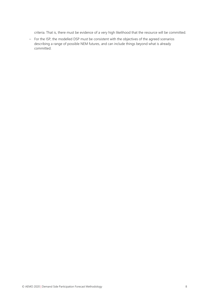criteria. That is, there must be evidence of a very high likelihood that the resource will be committed.

– For the ISP, the modelled DSP must be consistent with the objectives of the agreed scenarios describing a range of possible NEM futures, and can include things beyond what is already committed.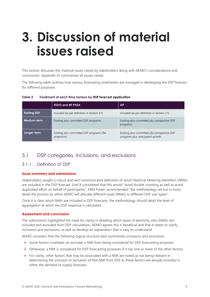# <span id="page-8-0"></span>**3. Discussion of material issues raised**

<span id="page-8-5"></span><span id="page-8-4"></span>This section discusses the material issues raised by stakeholders along with AEMO's considerations and conclusions. Appendix A1 summarises all issues raised.

The following table outlines how various forecasting timeframes are managed in developing the DSP forecast for different purposes.

<span id="page-8-2"></span>

| Table 2 | Treatment of each time horizon by DSP forecast application |  |  |  |
|---------|------------------------------------------------------------|--|--|--|
|         |                                                            |  |  |  |

|                     | <b>ESOO and MT PASA</b>                                    | <b>ISP</b>                                                                        |
|---------------------|------------------------------------------------------------|-----------------------------------------------------------------------------------|
| <b>Existing DSP</b> | Included (as per definition in Section 3.1).               | Included (as per definition in Section 3.1).                                      |
| Medium-term         | Existing plus committed DSP programs.                      | Existing plus committed plus prospective DSP<br>programs.                         |
| Longer-term         | Existing plus committed DSP programs (flat<br>projection). | Existing plus committed plus prospective DSP<br>programs plus anticipated growth. |

# <span id="page-8-1"></span>3.1 DSP categories, inclusions, and exclusions

#### <span id="page-8-3"></span>3.1.1 Definition of DSP

#### **Issue summary and submissions**

Stakeholders sought a robust and well communicated definition of which National Metering Identifiers (NMIs) are included in the DSP forecast. Enel X considered that this would "avoid double counting as well as avoid duplicated effort on behalf of participants". ERM Power recommended "the methodology set out in more detail the process by which AEMO will allocate different loads (NMIs) to different DSP sub-types".

Once it is clear which NMIs are included in DSP forecasts, the methodology should detail the level of aggregation at which the DSP response is calculated.

#### **Assessment and conclusion**

The submissions highlighted the need for clarity in detailing which types of electricity sites (NMIs) are included and excluded from DSP calculations. AEMO agrees this is beneficial and that it needs to clarify inclusions and exclusions, as well as develop an explanation that is easy to understand.

AEMO considers that the following logical structure best summarises inclusions and exclusions:

- Some factors invalidate (or exclude) a NMI from being considered for DSP forecasting purposes.
- Otherwise, a NMI is considered for DSP forecasting purposes if it has one or more of the other factors.
- For clarity, other factors that may be associated with a NMI are noted as not being relevant in determining the inclusion or exclusion of that NMI from DSP as these factors are already included in either the demand or supply forecasts.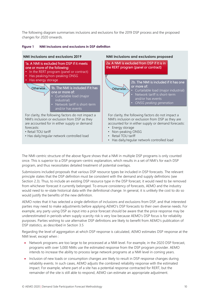The following diagram summarises inclusions and exclusions for the 2019 DSP process and the proposed changes for 2020 onwards.

#### **Figure 1 NMI inclusions and exclusions in DSP definition**



The NMI-centric structure of the above figure shows that a NMI in multiple DSP programs is only counted once. This is superior to a DSP program-centric explanation, which results in a set of NMI's for each DSP program, and thus necessitates detailed treatment of potential overlaps.

Submissions included proposals that various DSP resource types be included in DSP forecasts. The relevant principle states that the DSP definition must be consistent with the demand and supply definitions (see Section [2.3\)](#page-6-0). Thus, to include an existing DSP resource type in the DSP forecast, it would need to be removed from whichever forecast it currently belonged. To ensure consistency of forecasts, AEMO and the industry would need to re-state historical data with the definitional change. In general, it is unlikely the cost to do so would justify the benefits of the new definition.

AEMO notes that it has selected a single definition of inclusions and exclusions from DSP, and that interested parties may need to make adjustments before applying AEMO's DSP forecasts to their own diverse needs. For example, any party using DSP as input into a price forecast should be aware that the price response may be underestimated in periods when supply scarcity risk is very low because AEMO's DSP focus is for reliability purposes. Parties wishing to use alternative DSP definitions are likely to benefit from AEMO's publication of DSP statistics, as described in Section [3.5](#page-14-0)

Regarding the level of aggregation at which DSP response is calculated, AEMO estimates DSP response at the NMI level, except when :

- Network programs are too large to be processed at a NMI level. For example, in the 2020 DSP forecast, programs with over 5,000 NMIs use the estimated response from the DSP program provider. AEMO intends to increase the ability to process large network programs at a NMI level in coming years.
- Inclusion of new loads or consumption changes are likely to result in DSP response changes during reliability events. In such cases, AEMO adjusts the combined reliability response with the estimated impact. For example, where part of a site has a potential response contracted for RERT, but the remainder of the site is still able to respond, AEMO can estimate an appropriate adjustment.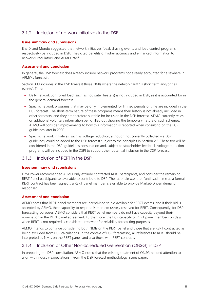### <span id="page-10-2"></span>3.1.2 Inclusion of network initiatives in the DSP

#### **Issue summary and submissions**

Enel X and Mondo suggested that network initiatives (peak shaving events and load control programs respectively) be included in DSP. They cited benefits of higher accuracy and enhanced information to networks, regulators, and AEMO itself.

#### <span id="page-10-1"></span>**Assessment and conclusion**

In general, the DSP forecast does already include network programs not already accounted for elsewhere in AEMO's forecasts.

Section [3.1.1](#page-8-3) includes in the DSP forecast those NMIs where the network tariff "is short term and/or has events". Thus:

- Daily network controlled load (such as hot water heaters) is not included in DSP, as it is accounted for in the general demand forecast.
- Specific network programs that may be only implemented for limited periods of time are included in the DSP forecast. The short-term nature of these programs means their history is not already included in other forecasts, and they are therefore suitable for inclusion in the DSP forecast. AEMO currently relies on additional voluntary information being filled out showing the temporary nature of such schemes. AEMO will consider improvements to how this information is reported when consulting on the DSPI guidelines later in 2020.
- Specific network initiatives, such as voltage reduction, although not currently collected via DSPI guidelines, could be added to the DSP forecast subject to the principles in Section [2.3.](#page-6-0) These too will be considered in the DSPI guidelines consultation and, subject to stakeholder feedback, voltage reduction programs will be included in the DSPI to support their potential inclusion in the DSP forecast.

#### <span id="page-10-0"></span>3.1.3 Inclusion of RERT in the DSP

#### **Issue summary and submissions**

ERM Power recommended AEMO only exclude contracted RERT participants, and consider the remaining RERT Panel participants as available to contribute to DSP. The rationale was that "until such time as a formal RERT contract has been signed… a RERT panel member is available to provide Market-Driven demand response".

#### **Assessment and conclusion**

AEMO notes that RERT panel members are incentivised to bid available for RERT events, and if their bid is accepted by AEMO, their capability to respond is then exclusively reserved for RERT. Consequently, for DSP forecasting purposes, AEMO considers that RERT panel members do not have capacity beyond their nomination in the RERT panel agreement. Furthermore, the DSP capacity of RERT panel members on days when RERT is not required is considered irrelevant for reliability forecasting purposes.

AEMO intends to continue considering both NMIs on the RERT panel and those that are RERT contracted as being excluded from DSP calculations. In the context of DSP forecasting, all references to RERT should be interpreted as NMIs on the RERT panel, and also those with RERT contracts.

### 3.1.4 Inclusion of Other Non-Scheduled Generation (ONSG) in DSP

In preparing the DSP consultation, AEMO noted that the existing treatment of ONSG needed attention to align with industry expectations. From the DSP forecast methodology issues paper: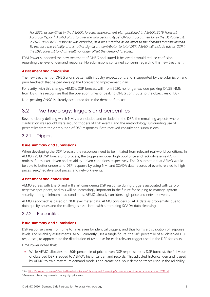*For 2020, as identified in the AEMO's forecast improvement plan published in AEMO's 2019 Forecast Accuracy Report<sup>6</sup> , AEMO plans to alter the way peaking-type<sup>7</sup> ONSG is accounted for in the DSP forecast. In 2019, any ONSG response was excluded, as it was included as an offset to the demand forecast instead. To increase the visibility of this rather significant contributor to total DSP, AEMO will include this as DSP in the 2020 forecast (and as result no longer offset the demand forecast).*

<span id="page-11-1"></span>ERM Power supported the new treatment of ONSG and stated it believed it would reduce confusion regarding the level of demand response. No submissions contained concerns regarding this new treatment.

#### **Assessment and conclusion**

The new treatment of ONSG aligns better with industry expectations, and is supported by the submission and prior feedback that helped develop the Forecasting Improvement Plan.

For clarity, with this change, AEMO's DSP forecast will, from 2020, no longer exclude peaking ONSG NMIs from DSP. This recognises that the operation times of peaking ONSG contribute to the objectives of DSP.

Non-peaking ONSG is already accounted for in the demand forecast.

### <span id="page-11-0"></span>3.2 Methodology: triggers and percentiles

<span id="page-11-2"></span>Beyond clearly defining which NMIs are included and excluded in the DSP, the remaining aspects where clarification was sought were around triggers of DSP events, and the methodology surrounding use of percentiles from the distribution of DSP responses. Both received consultation submissions.

#### 3.2.1 Triggers

#### **Issue summary and submissions**

When developing the DSP forecast, the responses need to be initiated from relevant real-world conditions. In AEMO's 2019 DSP forecasting process, the triggers included high pool price and lack-of-reserve (LOR) notices, for market-driven and reliability-driven conditions respectively. Enel X submitted that AEMO would be able to better understand DSP response by using NMI and SCADA data records of events related to high prices, zero/negative spot prices, and network events.

#### **Assessment and conclusion**

AEMO agrees with Enel X and will start considering DSP response during triggers associated with zero or negative spot prices, and this will be increasingly important in the future for helping to manage system security during minimum load conditions. AEMO already considers high price and network events.

AEMO's approach is based on NMI level meter data. AEMO considers SCADA data as problematic due to data quality issues and the challenges associated with automating SCADA data cleansing.

#### 3.2.2 Percentiles

#### **Issue summary and submissions**

DSP response varies from time to time, even for identical triggers, and thus forms a distribution of response levels. For reliability assessments, AEMO currently uses a single figure (the 50<sup>th</sup> percentile of all observed DSP responses) to approximate the distribution of response for each relevant trigger used in the DSP forecasts.

ERM Power noted that:

• While AEMO allocates the 50th percentile of price driven DSP response to its DSP forecast, the full value of observed DSP is added to AEMO's historical demand records. This adjusted historical demand is used by AEMO to train maximum demand models and create half-hour demand traces used in the reliability

<sup>6</sup> Se[e https://www.aemo.com.au/-/media/files/electricity/nem/planning\\_and\\_forecasting/accuracy-report/forecast\\_accuracy\\_report\\_2019.pdf.](https://www.aemo.com.au/-/media/files/electricity/nem/planning_and_forecasting/accuracy-report/forecast_accuracy_report_2019.pdf)

 $7$  Generating plants only operating during high price events.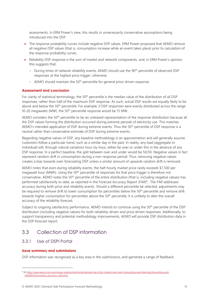assessments. In ERM Power's view, this results in unnecessarily conservative assumptions being introduced into the DSP.

- The response probability curves include negative DSP values. ERM Power proposed that AEMO remove all negative DSP values (that is, consumption increase while an event takes place) prior to calculation of the response probability curves.
- Reliability DSP response is the sum of market and network components, and, in ERM Power's opinion, this suggests that:
	- During times of network reliability events, AEMO should use the 90<sup>th</sup> percentile of observed DSP responses at the highest price trigger, otherwise
	- $-$  AEMO should maintain the 50<sup>th</sup> percentile for general price-driven response.

#### **Assessment and conclusion**

For clarity of statistical terminology, the 50<sup>th</sup> percentile is the median value of the distribution of all DSP responses, rather than half of the maximum DSP response. As such, actual DSP results are equally likely to be above and below the 50<sup>th</sup> percentile. For example, if DSP responses were evenly distributed across the range 10-20 megawatts (MW), the 50<sup>th</sup> percentile response would be 15 MW.

AEMO considers the 50<sup>th</sup> percentile to be an unbiased representation of the response distribution because all the DSP values forming the distribution occurred during extreme periods of electricity use. This matches AEMO's intended application of DSP during extreme events. Thus the 50<sup>th</sup> percentile of DSP response is a neutral rather than conservative estimate of DSP during extreme events.

<span id="page-12-1"></span>Regarding negative values of DSP, any baseline methodology is an approximation and will generally assume customers follow a particular trend, such as a similar day in the past. In reality, any load (aggregate or individual) will, through natural variations hour-by-hour, either be over or under this in the absence of any DSP response. In a perfect baseline, the split between over and under would be 50/50. Negative values in fact represent random drift in consumption during a non-response period. Thus, removing negative values creates a bias towards over-forecasting DSP unless a similar amount of upwards random drift is removed.

AEMO notes that even during reliability events, the half-hourly market price rarely exceeds \$7,500 per megawatt hour (MWh). Using the 50<sup>th</sup> percentile of responses for that price trigger is therefore not conservative. AEMO notes the 50<sup>th</sup> percentile of the entire distribution (that is, including negative values) has performed satisfactorily to date, as reported in the Forecast Accuracy Report (FAR)<sup>8</sup>. The FAR addresses accuracy during both price and reliability events. Should a different percentile be selected, adjustments may be required to remove drift to lower consumption for percentiles below the 50<sup>th</sup> percentile and remove drift towards higher consumption for percentiles above the 50<sup>th</sup> percentile. It is unlikely to alter the overall accuracy of the reliability forecast.

Subject to ongoing satisfactory performance, AEMO intends to continue using the 50<sup>th</sup> percentile of the DSP distribution (including negative values) for both reliability-driven and price-driven responses. Additionally, to support transparency and potential methodology improvements, AEMO will provide DSP distribution data in the DSP forecast report.

# <span id="page-12-0"></span>3.3 Collection of DSP information

#### 3.3.1 Use of DSPI Portal

#### **Issue summary and submissions**

DSP information was recognised as a key area in the submissions, and garnered a range of feedback:

<sup>8</sup> A[t https://www.aemo.com.au/energy-systems/electricity/national-electricity-market-nem/nem-forecasting-and-planning/forecasting-and](https://www.aemo.com.au/energy-systems/electricity/national-electricity-market-nem/nem-forecasting-and-planning/forecasting-and-reliability/forecasting-accuracy-reporting)[reliability/forecasting-accuracy-reporting.](https://www.aemo.com.au/energy-systems/electricity/national-electricity-market-nem/nem-forecasting-and-planning/forecasting-and-reliability/forecasting-accuracy-reporting)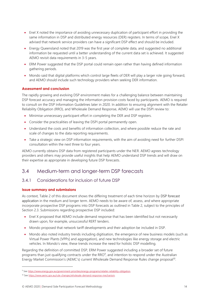- Enel X noted the importance of avoiding unnecessary duplication of participant effort in providing the same information in DSP and distributed energy resources (DER) registers. In terms of scope, Enel X advised that network service providers can have a significant DSP effect and should be included.
- Energy Queensland noted that 2019 was the first year of complete data, and suggested no additional information be requested until a better understanding of the current data set is achieved. It suggested AEMO revisit data requirements in 3-5 years.
- ERM Power suggested that the DSP portal could remain open rather than having defined information gathering periods.
- Mondo said that digital platforms which control large fleets of DER will play a larger role going forward, and AEMO should include such technology providers when seeking DER information.

#### <span id="page-13-1"></span>**Assessment and conclusion**

The rapidly growing and evolving DSP environment makes for a challenging balance between maintaining DSP forecast accuracy and managing the information provision costs faced by participants. AEMO is required to consult on the DSP Information Guidelines later in 2020. In addition to ensuring alignment with the Retailer Reliability Obligation (RRO), and Wholesale Demand Response, AEMO will use the DSPI review to:

- Minimise unnecessary participant effort in completing the DER and DSP registers.
- Consider the practicalities of leaving the DSPI portal permanently open.
- Understand the costs and benefits of information collection, and where possible reduce the rate and scale of changes to the data reporting requirements.
- Take a strategic view on DSP information requirements, with the aim of avoiding need for further DSPI consultation within the next three to four years.

AEMO currently obtains DSP data from registered participants under the NER. AEMO agrees technology providers and others may provide useful insights that help AEMO understand DSP trends and will draw on their expertise as appropriate in developing future DSP forecasts.

# <span id="page-13-0"></span>3.4 Medium-term and longer-term DSP forecasts

### 3.4.1 Considerations for inclusion of future DSP

#### **Issue summary and submissions**

As context, Table 2 of this document shows the differing treatment of each time horizon by DSP forecast application in the medium and longer term. AEMO needs to be aware of, assess, and where appropriate incorporate prospective DSP programs into DSP forecasts as outlined in Table 2, subject to the principles of Section [2.3.](#page-6-0) Submissions regarding prospective DSP included:

- Enel X proposed that AEMO include demand response that has been identified but not necessarily drawn upon, for example, unsuccessful RERT tenders.
- Mondo proposed that network tariff developments and their adoption be included in DSP.
- Mondo also noted industry trends including digitisation, the emergence of new business models (such as Virtual Power Plants [VPPs] and aggregation), and new technologies like energy storage and electric vehicles. In Mondo's view, these trends increase the need for holistic DSP modelling.

Regarding the definition of committed DSP, ERM Power suggested including a broader set of future programs than just qualifying contracts under the RRO $9$ , and intention to respond under the Australian Energy Market Commission's (AEMC's) current Wholesale Demand Response Rules change proposal<sup>10</sup>.

<sup>9</sup> Se[e https://www.energy.gov.au/government-priorities/energy-programs/retailer-reliability-obligation.](https://www.energy.gov.au/government-priorities/energy-programs/retailer-reliability-obligation)

<sup>10</sup> Se[e https://www.aemc.gov.au/rule-changes/wholesale-demand-response-mechanism.](https://www.aemc.gov.au/rule-changes/wholesale-demand-response-mechanism)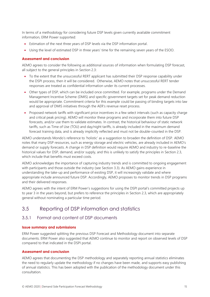In terms of a methodology for considering future DSP levels given currently available commitment information, ERM Power supported:

- Estimation of the next three years of DSP levels via the DSP information portal.
- Using the level of estimated DSP in three years' time for the remaining seven years of the ESOO.

#### **Assessment and conclusion**

AEMO agrees to consider the following as additional sources of information when formulating DSP forecast, all subject to the general principles in Section [2.3:](#page-6-0)

- To the extent that the unsuccessful RERT applicant has submitted their DSP response capability under the DSPI process, then it will be considered. Otherwise, AEMO notes that unsuccessful RERT tender responses are treated as confidential information under its current processes.
- Other types of DSP, which can be included once committed. For example, programs under the Demand Management Incentive Scheme (DMIS) and specific government targets set for peak demand reduction would be appropriate. Commitment criteria for this example could be passing of binding targets into law and approval of DMIS initiatives through the AER's revenue reset process.
- Proposed network tariffs with significant price incentives in a few select intervals (such as capacity charge and critical peak pricing). AEMO will monitor these programs and incorporate them into future DSP forecasts, and/or use them to validate estimates. In contrast, the historical behaviour of static network tariffs, such as Time of Use (TOU) and day/night tariffs, is already included in the maximum demand forecast training data, and is already implicitly reflected and must not be double-counted in the DSP.

<span id="page-14-1"></span>AEMO understands Mondo's reference to 'holistic' as a suggestion to broaden the definition of DSP. AEMO notes that many DSP resources, such as energy storage and electric vehicles, are already included in AEMO's demand or supply forecasts. A change in DSP definition would require AEMO and industry to re-baseline the historical values for DSP, demand, and/or supply, and this is unlikely to satisfy the principles in Section [2.3,](#page-6-0) which include that benefits must exceed costs.

AEMO acknowledges the importance of capturing industry trends and is committed to ongoing engagement with participants and those outside the industry (see Section [3.3\)](#page-12-0). As AEMO gains experience in understanding the take-up and performance of existing DSP, it will increasingly validate and where appropriate include announced future DSP. Accordingly, AEMO proposes to monitor trends in DSP programs and their delivered responses.

AEMO agrees with the intent of ERM Power's suggestions for using the DSPI portal's committed projects up to year 3 in the years beyond, but prefers to reference the principles in Sectio[n 2.3,](#page-6-0) which are appropriately general without nominating a particular time period.

# <span id="page-14-0"></span>3.5 Reporting of DSP information and statistics

#### 3.5.1 Format and content of DSP documents

#### **Issue summary and submissions**

ERM Power suggested splitting the previous DSP Forecast and Methodology document into separate documents. ERM Power also suggested that AEMO continue to monitor and report on observed levels of DSP compared to that indicated in the DSPI portal.

#### **Assessment and conclusion**

AEMO agrees that documenting the DSP methodology and separately reporting annual statistics eliminates the need to regularly update the methodology if no changes have been made, and supports easy publishing of annual statistics. This has been adopted with the publication of the methodology document under this consultation.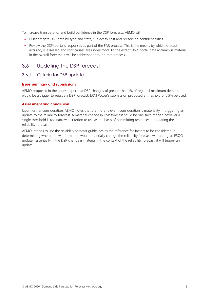<span id="page-15-1"></span>To increase transparency and build confidence in the DSP forecasts, AEMO will:

- Disaggregate DSP data by type and state, subject to cost and preserving confidentialities.
- Review the DSPI portal's responses as part of the FAR process. This is the means by which forecast accuracy is assessed and root causes are understood. To the extent DSPI portal data accuracy is material in the overall forecast, it will be addressed through that process.

# <span id="page-15-0"></span>3.6 Updating the DSP forecast

#### 3.6.1 Criteria for DSP updates

#### **Issue summary and submissions**

AEMO proposed in the issues paper that DSP changes of greater than 1% of regional maximum demand would be a trigger to reissue a DSP forecast. ERM Power's submission proposed a threshold of 0.5% be used.

#### **Assessment and conclusion**

Upon further consideration, AEMO notes that the more relevant consideration is materiality in triggering an update to the reliability forecast. A material change in DSP forecast could be one such trigger, however a single threshold is too narrow a criterion to use as the basis of committing resources to updating the reliability forecast.

AEMO intends to use the reliability forecast guidelines as the reference for factors to be considered in determining whether new information would materially change the reliability forecast, warranting an ESOO update. Essentially, if the DSP change is material in the context of the reliability forecast, it will trigger an update.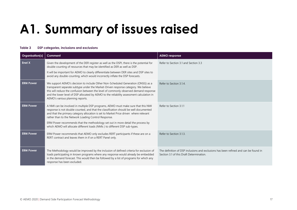# **A1. Summary of issues raised**

#### **Table 3 DSP categories, inclusions and exclusions**

<span id="page-16-1"></span><span id="page-16-0"></span>

| Organisation(s)  | <b>Comment</b>                                                                                                                                                                                                                                                                                                                                                                                                                                                                                 | <b>AEMO response</b>                                                                                                             |
|------------------|------------------------------------------------------------------------------------------------------------------------------------------------------------------------------------------------------------------------------------------------------------------------------------------------------------------------------------------------------------------------------------------------------------------------------------------------------------------------------------------------|----------------------------------------------------------------------------------------------------------------------------------|
| Enel X           | Given the development of the DER register as well as the DSPI, there is the potential for<br>double counting of resources that may be identified as DER as well as DSP.<br>It will be important for AEMO to clearly differentiate between DER sites and DSP sites to<br>avoid any double-counting, which would incorrectly inflate the DSP forecasts.                                                                                                                                          | Refer to Section 3.1 and Section 3.3                                                                                             |
| <b>ERM Power</b> | We support AEMO's decision to include Other Non-Scheduled Generation (ONSG) as a<br>transparent separate subtype under the Market-Driven response category. We believe<br>this will reduce the confusion between the level of commonly observed demand response<br>and the lower level of DSP allocated by AEMO to the reliability assessment calculation in<br>AEMO's various planning reports.                                                                                               | Refer to Section 3.1.4.                                                                                                          |
| <b>ERM Power</b> | A NMI can be involved in multiple DSP programs, AEMO must make sure that this NMI<br>response is not double counted, and that the classification should be well documented<br>and that the primary category allocation is set to Market Price driven where relevant<br>rather than to the Network Loading Control Response.<br>ERM Power recommends that the methodology set out in more detail the process by<br>which AEMO will allocate different loads (NMIs ) to different DSP sub-types. | Refer to Section 3.1.1                                                                                                           |
| <b>ERM Power</b> | ERM Power recommends that AEMO only excludes RERT participants if these are on a<br>RERT contract and leaves them in if on a RERT Panel only.                                                                                                                                                                                                                                                                                                                                                  | Refer to Section 3.1.3.                                                                                                          |
| <b>ERM Power</b> | The Methodology would be improved by the inclusion of defined criteria for exclusion of<br>loads participating in known programs where any response would already be embedded<br>in the demand forecast. This would then be followed by a list of programs for which any<br>response has been excluded.                                                                                                                                                                                        | The definition of DSP inclusions and exclusions has been refined and can be found in<br>Section 3.1 of this Draft Determination. |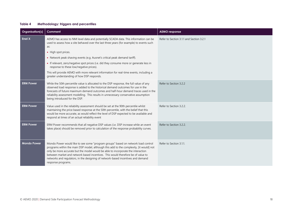#### **Table 4 Methodology: triggers and percentiles**

<span id="page-17-0"></span>

| Organisation(s)    | Comment                                                                                                                                                                                                                                                                                                                                                                                                                                                        | <b>AEMO</b> response                     |
|--------------------|----------------------------------------------------------------------------------------------------------------------------------------------------------------------------------------------------------------------------------------------------------------------------------------------------------------------------------------------------------------------------------------------------------------------------------------------------------------|------------------------------------------|
| Enel X             | AEMO has access to NMI level data and potentially SCADA data. This information can be<br>used to assess how a site behaved over the last three years (for example) to events such<br>as:                                                                                                                                                                                                                                                                       | Refer to Section 3.1.1 and Section 3.2.1 |
|                    | • High spot prices.                                                                                                                                                                                                                                                                                                                                                                                                                                            |                                          |
|                    | • Network peak shaving events (e.g. Ausnet's critical peak demand tariff).                                                                                                                                                                                                                                                                                                                                                                                     |                                          |
|                    | • If relevant, zero/negative spot prices (i.e. did they consume more or generate less in<br>response to these low/negative prices).                                                                                                                                                                                                                                                                                                                            |                                          |
|                    | This will provide AEMO with more relevant information for real-time events, including a<br>greater understanding of how DSP responds.                                                                                                                                                                                                                                                                                                                          |                                          |
| <b>ERM Power</b>   | While the 50th percentile value is allocated to the DSP response, the full value of any<br>observed load response is added to the historical demand outcomes for use in the<br>forecasts of future maximum demand outcomes and half-hour demand traces used in the<br>reliability assessment modelling. This results in unnecessary conservative assumption<br>being introduced for the DSP.                                                                   | Refer to Section 3.2.2                   |
| <b>ERM Power</b>   | Value used in the reliability assessment should be set at the 90th percentile whilst<br>maintaining the price based response at the 50th percentile, with the belief that this<br>would be more accurate, as would reflect the level of DSP expected to be available and<br>respond at times of an actual reliability event                                                                                                                                    | Refer to Section 3.2.2.                  |
| <b>ERM Power</b>   | ERM Power recommends that all negative DSP values (i.e. DSP increase while an event<br>takes place) should be removed prior to calculation of the response probability curves.                                                                                                                                                                                                                                                                                 | Refer to Section 3.2.2.                  |
| <b>Mondo Power</b> | Mondo Power would like to see some "program groups" based on network load control<br>programs within the main DSP model, although this add to the complexity, [it would] not<br>only be more accurate but the model would be able to incorporate the interaction<br>between market and network based incentives. This would therefore be of value to<br>networks and regulators, in the designing of network-based incentives and demand<br>response programs. | Refer to Section 3.1.1.                  |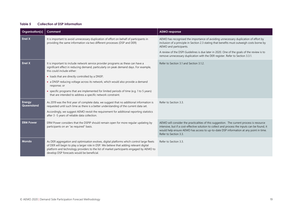#### **Table 5 Collection of DSP information**

<span id="page-18-0"></span>

| Organisation(s)      | Comment                                                                                                                                                                                                                                                                                                                       | <b>AEMO</b> response                                                                                                                                                                                                                                                                                          |
|----------------------|-------------------------------------------------------------------------------------------------------------------------------------------------------------------------------------------------------------------------------------------------------------------------------------------------------------------------------|---------------------------------------------------------------------------------------------------------------------------------------------------------------------------------------------------------------------------------------------------------------------------------------------------------------|
| Enel X               | It is important to avoid unnecessary duplication of effort on behalf of participants in<br>providing the same information via two different processes (DSP and DER)                                                                                                                                                           | AEMO has recognised the importance of avoiding unnecessary duplication of effort by<br>inclusion of a principle in Section 2.3 stating that benefits must outweigh costs borne by<br>AEMO and participants.                                                                                                   |
|                      |                                                                                                                                                                                                                                                                                                                               | A review of the DSPI Guidelines is due later in 2020. One of the goals of the review is to<br>remove unnecessary duplication with the DER register. Refer to Section 3.3.1.                                                                                                                                   |
| <b>Enel X</b>        | It is important to include network service provider programs as these can have a<br>significant effect in reducing demand, particularly on peak demand days. For example,<br>this could include either:                                                                                                                       | Refer to Section 3.1 and Section 3.1.2.                                                                                                                                                                                                                                                                       |
|                      | • loads that are directly controlled by a DNSP;                                                                                                                                                                                                                                                                               |                                                                                                                                                                                                                                                                                                               |
|                      | • a DNSP reducing voltage across its network, which would also provide a demand<br>response; or                                                                                                                                                                                                                               |                                                                                                                                                                                                                                                                                                               |
|                      | • specific programs that are implemented for limited periods of time (e.g. 1 to 5 years)<br>that are intended to address a specific network constraint.                                                                                                                                                                       |                                                                                                                                                                                                                                                                                                               |
| Energy<br>Queensland | As 2019 was the first year of complete data, we suggest that no additional information is<br>requested until such time as there is a better understanding of the current data set.                                                                                                                                            | Refer to Section 3.3.                                                                                                                                                                                                                                                                                         |
|                      | Accordingly, we suggest AEMO revisit the requirement for additional reporting statistics<br>after 3 -5 years of reliable data collection.                                                                                                                                                                                     |                                                                                                                                                                                                                                                                                                               |
| <b>ERM Power</b>     | ERM Power considers that the DSPIP should remain open for more regular updating by<br>participants on an "as required" basis.                                                                                                                                                                                                 | AEMO will consider the practicalities of this suggestion. The current process is resource<br>intensive, but if a cost-effective solution to collect and process the inputs can be found, it<br>would help ensure AEMO has access to up-to-date DSP information at any point in time.<br>Refer to Section 3.3. |
| Mondo                | As DER aggregation and optimisation evolves, digital platforms which control large fleets<br>of DER will begin to play a larger role in DSP. We believe that adding relevant digital<br>platform and technology providers to the list of market participants engaged by AEMO to<br>develop DSP forecasts would be beneficial. | Refer to Section 3.3.                                                                                                                                                                                                                                                                                         |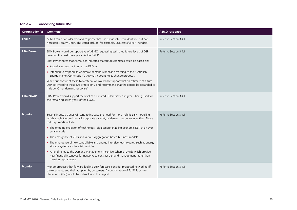#### **Table 6 Forecasting future DSP**

<span id="page-19-0"></span>

| Organisation(s)  | <b>Comment</b>                                                                                                                                                                                                                                                                                                                                                                                                           | <b>AEMO</b> response    |
|------------------|--------------------------------------------------------------------------------------------------------------------------------------------------------------------------------------------------------------------------------------------------------------------------------------------------------------------------------------------------------------------------------------------------------------------------|-------------------------|
| Enel X           | AEMO could consider demand response that has previously been identified but not<br>necessarily drawn upon. This could include, for example, unsuccessful RERT tenders.                                                                                                                                                                                                                                                   | Refer to Section 3.4.1. |
| <b>ERM Power</b> | ERM Power would be supportive of AEMO requesting estimated future levels of DSP<br>covering the next three years via the DSPIP.<br>ERM Power notes that AEMO has indicated that future estimates could be based on;<br>• A qualifying contract under the RRO, or<br>• Intended to respond as wholesale demand response according to the Australian<br>Energy Market Commission's (AEMC's) current Rules change proposal. | Refer to Section 3.4.1. |
|                  | Whilst supportive of these two criteria, we would not support that an estimate of future<br>DSP be limited to these two criteria only and recommend that the criteria be expanded to<br>include "Other demand response".                                                                                                                                                                                                 |                         |
| <b>ERM Power</b> | ERM Power would support the level of estimated DSP indicated in year 3 being used for<br>the remaining seven years of the ESOO.                                                                                                                                                                                                                                                                                          | Refer to Section 3.4.1. |
| Mondo            | Several industry trends will tend to increase the need for more holistic DSP modelling<br>which is able to consistently incorporate a variety of demand response incentives. Those<br>industry trends include:<br>• The ongoing evolution of technology (digitisation) enabling economic DSP at an ever<br>smaller scale                                                                                                 | Refer to Section 3.4.1. |
|                  | • The emergence of VPPs and various Aggregation based business models                                                                                                                                                                                                                                                                                                                                                    |                         |
|                  | • The emergence of new controllable and energy intensive technologies, such as energy<br>storage systems and electric vehicles                                                                                                                                                                                                                                                                                           |                         |
|                  | • Amendments to the Demand Management Incentive Scheme (DMIS) which provide<br>new financial incentives for networks to contract demand management rather than<br>invest in capital assets.                                                                                                                                                                                                                              |                         |
| Mondo            | Mondo proposes that forward looking DSP forecasts consider proposed network tariff<br>developments and their adoption by customers. A consideration of Tariff Structure<br>Statements (TSS) would be instructive in this regard.                                                                                                                                                                                         | Refer to Section 3.4.1. |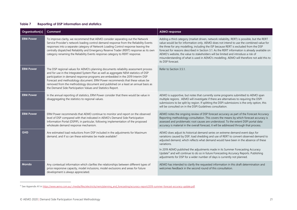#### **Table 7 Reporting of DSP information and statistics**

| Organisation(s)  | Comment                                                                                                                                                                                                                                                                                                                                                                                                                                                                                            | <b>AEMO</b> response                                                                                                                                                                                                                                                                                                                                                                                                                                                                                                                                                                     |
|------------------|----------------------------------------------------------------------------------------------------------------------------------------------------------------------------------------------------------------------------------------------------------------------------------------------------------------------------------------------------------------------------------------------------------------------------------------------------------------------------------------------------|------------------------------------------------------------------------------------------------------------------------------------------------------------------------------------------------------------------------------------------------------------------------------------------------------------------------------------------------------------------------------------------------------------------------------------------------------------------------------------------------------------------------------------------------------------------------------------------|
| <b>ERM Power</b> | To improve clarity, we recommend that AEMO consider separating out the Network<br>Service Provider's network loading control demand response from the Reliability Events<br>responses into a separate category of Network Loading Control response leaving the<br>centrally dispatched Reliability and Emergency Reserve Trader (RERT) response as its own<br>category renaming the Reliability Events response category to RERT response.                                                         | Adding a third category (market driven, network reliability, RERT) is possible, but the RERT<br>value would be for information only. AEMO does not intend to use the combined value for<br>the three for any modelling, including the ISP because RERT is excluded from the DSP<br>forecast for reasons described in Section 3.1. As the RERT information is already available on<br>AEMO's website, the value to stakeholders will be limited and introduce a risk of<br>misunderstanding of what is used in AEMO's modelling. AEMO will therefore not add this to<br>its DSP forecast. |
| <b>ERM Power</b> | The DSP regional values for AEMO's planning documents reliability assessment process<br>and for use in the Integrated System Plan as well as aggregate NEM statistics of DSP<br>participation in demand response programs are embedded in the 2019 Interim DSP<br>Forecast and methodology document. ERM Power recommends that these values be<br>removed from the methodology document and published on a least an annual basis as<br>the Demand Side Participation Values and Statistics Report. | Refer to Section 3.5.1.                                                                                                                                                                                                                                                                                                                                                                                                                                                                                                                                                                  |
| <b>ERM Power</b> | In the annual reporting of statistics, ERM Power consider that there would be value in<br>disaggregating the statistics to regional values.                                                                                                                                                                                                                                                                                                                                                        | AEMO is supportive, but notes that currently some programs submitted to AEMO span<br>multiple regions. AEMO will investigate if there are alternatives to requiring the DSPI<br>submissions to be split by region. If splitting the DSPI submissions is the only option, this<br>will be consulted on in the DSPI Guidelines consultation.                                                                                                                                                                                                                                               |
| <b>ERM Power</b> | ERM Power recommends that AEMO continue to monitor and report on the observed<br>level of DSP compared with that indicated in AEMO's Demand Side Participation<br>Information Portal (DSPIP), in particular, following implementation of the proposed<br>wholesale demand response mechanism.                                                                                                                                                                                                      | AEMO notes the ongoing review of DSP forecast accuracy as part of the Forecast Accuracy<br>Reporting methodology consultation. This covers the means by which forecast accuracy is<br>assessed and problematic root causes are understood. To the extent DSPI portal data<br>accuracy is material in the overall forecast, it will be addressed through that process.                                                                                                                                                                                                                    |
| <b>GHD</b>       | Are estimated load reductions from DSP included in the adjustments for Maximum<br>demand, and if so can these estimates be made available?                                                                                                                                                                                                                                                                                                                                                         | AEMO does adjust its historical demand series on extreme demand event days for<br>variations caused by DSP, load shedding and use of RERT to convert observed demand to<br>adjusted demand, which reflects what demand would have been in the absence of these<br>variations.<br>In 2019 AEMO published the adjustments made in its Summer Forecasting Accuracy<br>Update <sup>11</sup> and will continue to do so in future Forecasting Accuracy Reports. Publishing<br>adjustments for DSP for a wider number of days is currently not planned.                                        |
| Mondo            | Any contextual information which clarifies the relationships between different types of<br>price responsive capacity, model inclusions, model exclusions and areas for future<br>development is always appreciated.                                                                                                                                                                                                                                                                                | AEMO has intended to clarify the requested information in this draft determination and<br>welcomes feedback in the second round of this consultation.                                                                                                                                                                                                                                                                                                                                                                                                                                    |

<span id="page-20-0"></span><sup>&</sup>lt;sup>11</sup> See Appendix A1 i[n https://www.aemo.com.au/-/media/files/electricity/nem/planning\\_and\\_forecasting/accuracy-report/2019-summer-forecast-accuracy-update.pdf.](https://www.aemo.com.au/-/media/files/electricity/nem/planning_and_forecasting/accuracy-report/2019-summer-forecast-accuracy-update.pdf)